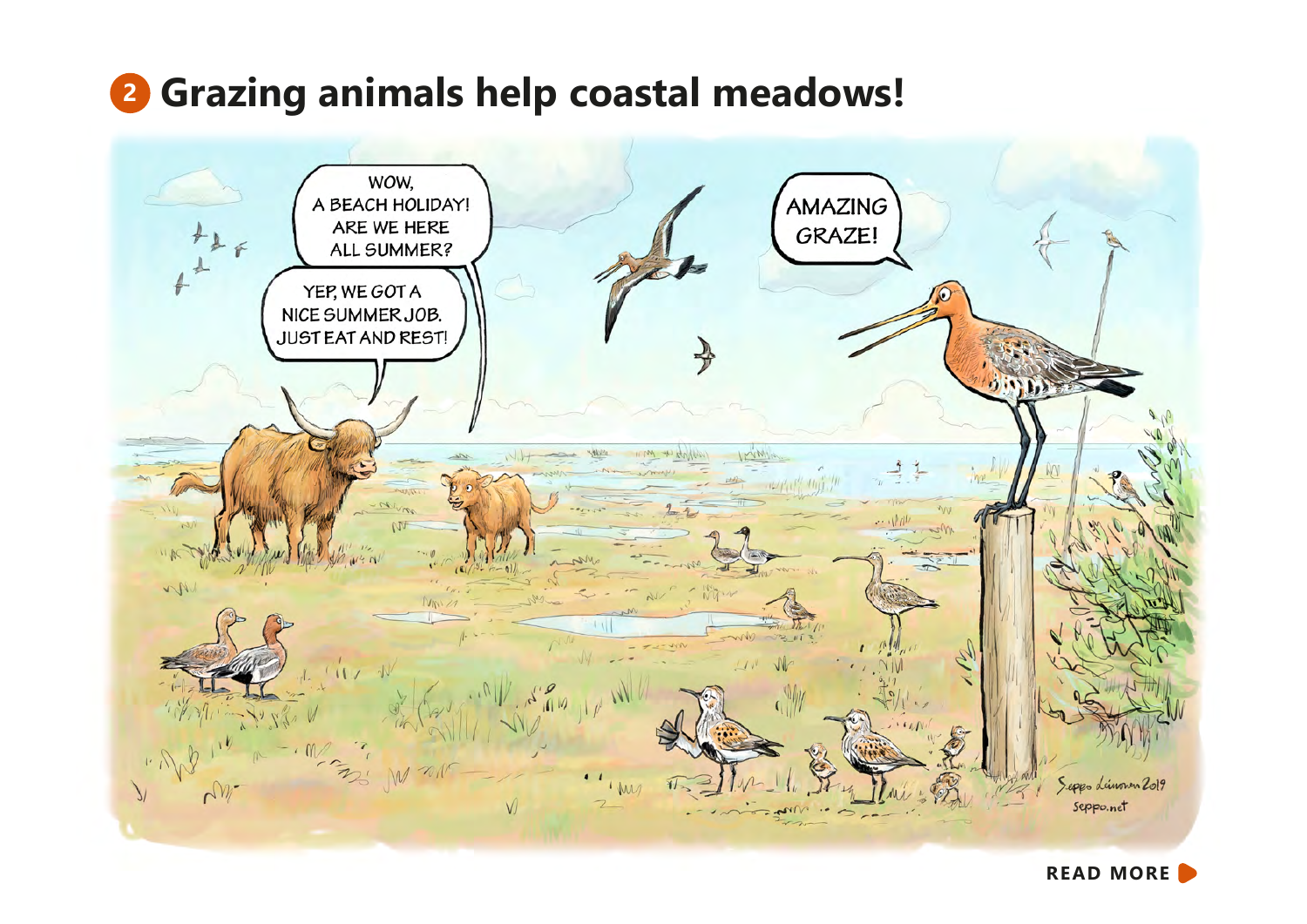# **<sup>2</sup> Grazing animals help coastal meadows!**